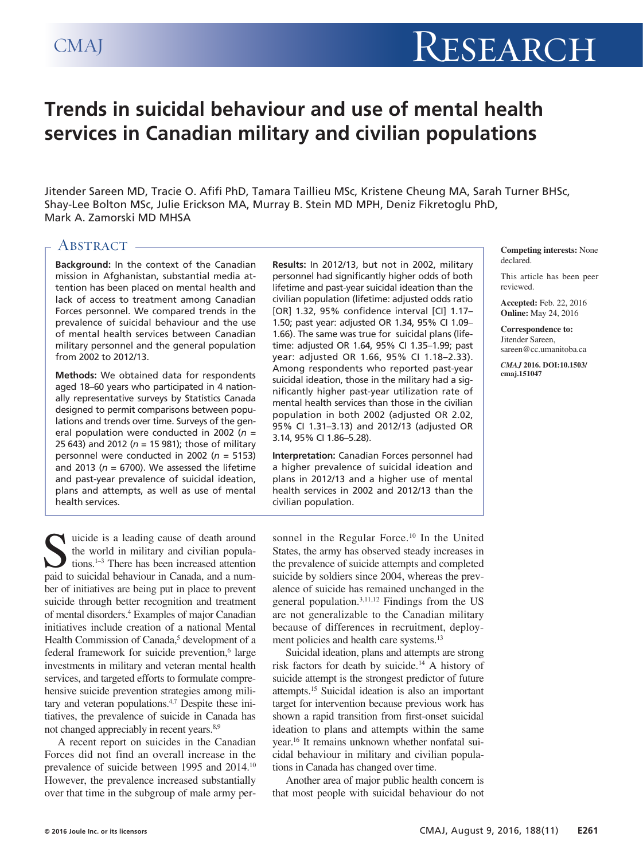# **Trends in suicidal behaviour and use of mental health services in Canadian military and civilian populations**

Jitender Sareen MD, Tracie O. Afifi PhD, Tamara Taillieu MSc, Kristene Cheung MA, Sarah Turner BHSc, Shay-Lee Bolton MSc, Julie Erickson MA, Murray B. Stein MD MPH, Deniz Fikretoglu PhD, Mark A. Zamorski MD MHSA

# ABSTRACT -

**Background:** In the context of the Canadian mission in Afghanistan, substantial media attention has been placed on mental health and lack of access to treatment among Canadian Forces personnel. We compared trends in the prevalence of suicidal behaviour and the use of mental health services between Canadian military personnel and the general population from 2002 to 2012/13.

**Methods:** We obtained data for respondents aged 18–60 years who participated in 4 nationally representative surveys by Statistics Canada designed to permit comparisons between populations and trends over time. Surveys of the general population were conducted in 2002 (*n* = 25 643) and 2012 (*n* = 15 981); those of military personnel were conducted in 2002 (*n* = 5153) and 2013 ( $n = 6700$ ). We assessed the lifetime and past-year prevalence of suicidal ideation, plans and attempts, as well as use of mental health services.

**Results:** In 2012/13, but not in 2002, military personnel had significantly higher odds of both lifetime and past-year suicidal ideation than the civilian population (lifetime: adjusted odds ratio [OR] 1.32, 95% confidence interval [CI] 1.17– 1.50; past year: adjusted OR 1.34, 95% CI 1.09– 1.66). The same was true for suicidal plans (lifetime: adjusted OR 1.64, 95% CI 1.35–1.99; past year: adjusted OR 1.66, 95% CI 1.18–2.33). Among respondents who reported past-year suicidal ideation, those in the military had a significantly higher past-year utilization rate of mental health services than those in the civilian population in both 2002 (adjusted OR 2.02, 95% CI 1.31–3.13) and 2012/13 (adjusted OR 3.14, 95% CI 1.86–5.28).

**Interpretation:** Canadian Forces personnel had a higher prevalence of suicidal ideation and plans in 2012/13 and a higher use of mental health services in 2002 and 2012/13 than the civilian population.

**Competing interests:** None declared.

This article has been peer reviewed.

**Accepted:** Feb. 22, 2016 **Online:** May 24, 2016

**Correspondence to:** Jitender Sareen, sareen@cc.umanitoba.ca

*CMAJ* **2016. DOI:10.1503/ cmaj.151047**

suicide is a leading cause of death around<br>tions.<sup>1-3</sup> There has been increased attention<br>read to suicidel behaviour in Congda, and a num the world in military and civilian populations.1–3 There has been increased attention paid to suicidal behaviour in Canada, and a number of initiatives are being put in place to prevent suicide through better recognition and treatment of mental disorders.4 Examples of major Canadian initiatives include creation of a national Mental Health Commission of Canada,<sup>5</sup> development of a federal framework for suicide prevention,<sup>6</sup> large investments in military and veteran mental health services, and targeted efforts to formulate comprehensive suicide prevention strategies among military and veteran populations.4,7 Despite these initiatives, the prevalence of suicide in Canada has not changed appreciably in recent years.<sup>8,9</sup>

A recent report on suicides in the Canadian Forces did not find an overall increase in the prevalence of suicide between 1995 and 2014.10 However, the prevalence increased substantially over that time in the subgroup of male army personnel in the Regular Force.<sup>10</sup> In the United States, the army has observed steady increases in the prevalence of suicide attempts and completed suicide by soldiers since 2004, whereas the prevalence of suicide has remained unchanged in the general population.3,11,12 Findings from the US are not generalizable to the Canadian military because of differences in recruitment, deployment policies and health care systems.<sup>13</sup>

Suicidal ideation, plans and attempts are strong risk factors for death by suicide.14 A history of suicide attempt is the strongest predictor of future attempts.15 Suicidal ideation is also an important target for intervention because previous work has shown a rapid transition from first-onset suicidal ideation to plans and attempts within the same year.16 It remains unknown whether nonfatal suicidal behaviour in military and civilian populations in Canada has changed over time.

Another area of major public health concern is that most people with suicidal behaviour do not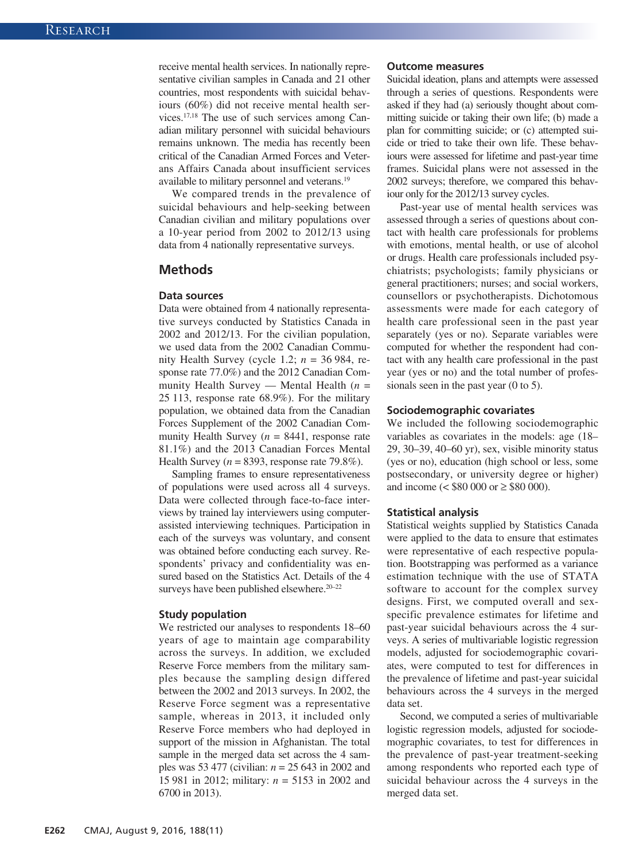receive mental health services. In nationally representative civilian samples in Canada and 21 other countries, most respondents with suicidal behaviours (60%) did not receive mental health services.17,18 The use of such services among Canadian military personnel with suicidal behaviours remains unknown. The media has recently been critical of the Canadian Armed Forces and Veterans Affairs Canada about insufficient services available to military personnel and veterans.19

We compared trends in the prevalence of suicidal behaviours and help-seeking between Canadian civilian and military populations over a 10-year period from 2002 to 2012/13 using data from 4 nationally representative surveys.

# **Methods**

#### **Data sources**

Data were obtained from 4 nationally representative surveys conducted by Statistics Canada in 2002 and 2012/13. For the civilian population, we used data from the 2002 Canadian Community Health Survey (cycle 1.2; *n* = 36 984, response rate 77.0%) and the 2012 Canadian Community Health Survey — Mental Health (*n* = 25 113, response rate 68.9%). For the military population, we obtained data from the Canadian Forces Supplement of the 2002 Canadian Community Health Survey  $(n = 8441,$  response rate 81.1%) and the 2013 Canadian Forces Mental Health Survey ( $n = 8393$ , response rate 79.8%).

Sampling frames to ensure representativeness of populations were used across all 4 surveys. Data were collected through face-to-face interviews by trained lay interviewers using computerassisted interviewing techniques. Participation in each of the surveys was voluntary, and consent was obtained before conducting each survey. Respondents' privacy and confidentiality was ensured based on the Statistics Act. Details of the 4 surveys have been published elsewhere.<sup>20–22</sup>

#### **Study population**

We restricted our analyses to respondents 18–60 years of age to maintain age comparability across the surveys. In addition, we excluded Reserve Force members from the military samples because the sampling design differed between the 2002 and 2013 surveys. In 2002, the Reserve Force segment was a representative sample, whereas in 2013, it included only Reserve Force members who had deployed in support of the mission in Afghanistan. The total sample in the merged data set across the 4 samples was 53 477 (civilian: *n* = 25 643 in 2002 and 15 981 in 2012; military: *n* = 5153 in 2002 and 6700 in 2013).

#### **Outcome measures**

Suicidal ideation, plans and attempts were assessed through a series of questions. Respondents were asked if they had (a) seriously thought about committing suicide or taking their own life; (b) made a plan for committing suicide; or (c) attempted suicide or tried to take their own life. These behaviours were assessed for lifetime and past-year time frames. Suicidal plans were not assessed in the 2002 surveys; therefore, we compared this behaviour only for the 2012/13 survey cycles.

Past-year use of mental health services was assessed through a series of questions about contact with health care professionals for problems with emotions, mental health, or use of alcohol or drugs. Health care professionals included psychiatrists; psychologists; family physicians or general practitioners; nurses; and social workers, counsellors or psychotherapists. Dichotomous assessments were made for each category of health care professional seen in the past year separately (yes or no). Separate variables were computed for whether the respondent had contact with any health care professional in the past year (yes or no) and the total number of professionals seen in the past year (0 to 5).

#### **Sociodemographic covariates**

We included the following sociodemographic variables as covariates in the models: age (18– 29, 30–39, 40–60 yr), sex, visible minority status (yes or no), education (high school or less, some postsecondary, or university degree or higher) and income ( $\lt$  \$80 000 or  $\ge$  \$80 000).

#### **Statistical analysis**

Statistical weights supplied by Statistics Canada were applied to the data to ensure that estimates were representative of each respective population. Bootstrapping was performed as a variance estimation technique with the use of STATA software to account for the complex survey designs. First, we computed overall and sexspecific prevalence estimates for lifetime and past-year suicidal behaviours across the 4 surveys. A series of multivariable logistic regression models, adjusted for sociodemographic covariates, were computed to test for differences in the prevalence of lifetime and past-year suicidal behaviours across the 4 surveys in the merged data set.

Second, we computed a series of multivariable logistic regression models, adjusted for sociodemographic covariates, to test for differences in the prevalence of past-year treatment-seeking among respondents who reported each type of suicidal behaviour across the 4 surveys in the merged data set.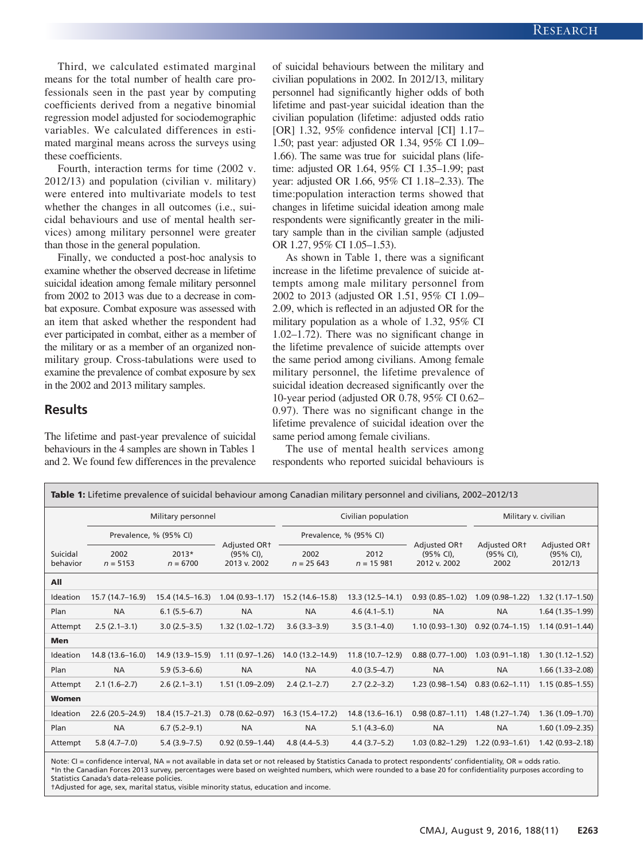Third, we calculated estimated marginal means for the total number of health care professionals seen in the past year by computing coefficients derived from a negative binomial regression model adjusted for sociodemographic variables. We calculated differences in estimated marginal means across the surveys using these coefficients.

Fourth, interaction terms for time (2002 v. 2012/13) and population (civilian v. military) were entered into multivariate models to test whether the changes in all outcomes (i.e., suicidal behaviours and use of mental health services) among military personnel were greater than those in the general population.

Finally, we conducted a post-hoc analysis to examine whether the observed decrease in lifetime suicidal ideation among female military personnel from 2002 to 2013 was due to a decrease in combat exposure. Combat exposure was assessed with an item that asked whether the respondent had ever participated in combat, either as a member of the military or as a member of an organized nonmilitary group. Cross-tabulations were used to examine the prevalence of combat exposure by sex in the 2002 and 2013 military samples.

## **Results**

The lifetime and past-year prevalence of suicidal behaviours in the 4 samples are shown in Tables 1 and 2. We found few differences in the prevalence of suicidal behaviours between the military and civilian populations in 2002. In 2012/13, military personnel had significantly higher odds of both lifetime and past-year suicidal ideation than the civilian population (lifetime: adjusted odds ratio [OR] 1.32, 95% confidence interval [CI] 1.17– 1.50; past year: adjusted OR 1.34, 95% CI 1.09– 1.66). The same was true for suicidal plans (lifetime: adjusted OR 1.64, 95% CI 1.35–1.99; past year: adjusted OR 1.66, 95% CI 1.18–2.33). The time:population interaction terms showed that changes in lifetime suicidal ideation among male respondents were significantly greater in the military sample than in the civilian sample (adjusted OR 1.27, 95% CI 1.05–1.53).

As shown in Table 1, there was a significant increase in the lifetime prevalence of suicide attempts among male military personnel from 2002 to 2013 (adjusted OR 1.51, 95% CI 1.09– 2.09, which is reflected in an adjusted OR for the military population as a whole of 1.32, 95% CI 1.02–1.72). There was no significant change in the lifetime prevalence of suicide attempts over the same period among civilians. Among female military personnel, the lifetime prevalence of suicidal ideation decreased significantly over the 10-year period (adjusted OR 0.78, 95% CI 0.62– 0.97). There was no significant change in the lifetime prevalence of suicidal ideation over the same period among female civilians.

The use of mental health services among respondents who reported suicidal behaviours is

| <b>Table 1:</b> Lifetime prevalence of suicidal behaviour among Canadian military personnel and civilians, 2002–2012/13 |                        |                     |                                                       |                        |                     |                                                          |                                               |                                                  |  |
|-------------------------------------------------------------------------------------------------------------------------|------------------------|---------------------|-------------------------------------------------------|------------------------|---------------------|----------------------------------------------------------|-----------------------------------------------|--------------------------------------------------|--|
|                                                                                                                         | Military personnel     |                     |                                                       | Civilian population    |                     |                                                          | Military v. civilian                          |                                                  |  |
|                                                                                                                         | Prevalence, % (95% CI) |                     |                                                       | Prevalence, % (95% CI) |                     |                                                          |                                               |                                                  |  |
| Suicidal<br>behavior                                                                                                    | 2002<br>$n = 5153$     | 2013*<br>$n = 6700$ | Adjusted OR <sub>t</sub><br>(95% CI),<br>2013 v. 2002 | 2002<br>$n = 25643$    | 2012<br>$n = 15981$ | Adjusted OR <sub>T</sub><br>$(95% CI)$ ,<br>2012 v. 2002 | Adjusted OR <sub>t</sub><br>(95% CI),<br>2002 | Adjusted OR <sub>T</sub><br>(95% CI),<br>2012/13 |  |
| All                                                                                                                     |                        |                     |                                                       |                        |                     |                                                          |                                               |                                                  |  |
| Ideation                                                                                                                | 15.7 (14.7-16.9)       | 15.4 (14.5–16.3)    | $1.04(0.93 - 1.17)$                                   | 15.2 (14.6-15.8)       | 13.3 (12.5-14.1)    | $0.93(0.85 - 1.02)$                                      | $1.09(0.98 - 1.22)$                           | $1.32(1.17-1.50)$                                |  |
| Plan                                                                                                                    | <b>NA</b>              | $6.1(5.5-6.7)$      | <b>NA</b>                                             | <b>NA</b>              | $4.6(4.1 - 5.1)$    | <b>NA</b>                                                | <b>NA</b>                                     | $1.64(1.35-1.99)$                                |  |
| Attempt                                                                                                                 | $2.5(2.1-3.1)$         | $3.0(2.5-3.5)$      | $1.32(1.02 - 1.72)$                                   | $3.6(3.3 - 3.9)$       | $3.5(3.1-4.0)$      | $1.10(0.93 - 1.30)$                                      | $0.92(0.74 - 1.15)$                           | $1.14(0.91 - 1.44)$                              |  |
| <b>Men</b>                                                                                                              |                        |                     |                                                       |                        |                     |                                                          |                                               |                                                  |  |
| Ideation                                                                                                                | 14.8 (13.6-16.0)       | 14.9 (13.9–15.9)    | $1.11(0.97 - 1.26)$                                   | 14.0 (13.2–14.9)       | $11.8(10.7-12.9)$   | $0.88(0.77-1.00)$                                        | $1.03(0.91 - 1.18)$                           | $1.30(1.12 - 1.52)$                              |  |
| Plan                                                                                                                    | <b>NA</b>              | $5.9(5.3-6.6)$      | <b>NA</b>                                             | <b>NA</b>              | $4.0(3.5 - 4.7)$    | <b>NA</b>                                                | <b>NA</b>                                     | $1.66(1.33 - 2.08)$                              |  |
| Attempt                                                                                                                 | $2.1(1.6-2.7)$         | $2.6(2.1-3.1)$      | 1.51 (1.09-2.09)                                      | $2.4(2.1-2.7)$         | $2.7(2.2-3.2)$      | $1.23(0.98 - 1.54)$                                      | $0.83(0.62 - 1.11)$                           | $1.15(0.85 - 1.55)$                              |  |
| Women                                                                                                                   |                        |                     |                                                       |                        |                     |                                                          |                                               |                                                  |  |
| Ideation                                                                                                                | 22.6 (20.5-24.9)       | 18.4 (15.7–21.3)    | $0.78(0.62 - 0.97)$                                   | 16.3 (15.4–17.2)       | 14.8 (13.6–16.1)    | $0.98(0.87 - 1.11)$                                      | $1.48(1.27-1.74)$                             | $1.36(1.09-1.70)$                                |  |
| Plan                                                                                                                    | <b>NA</b>              | $6.7(5.2-9.1)$      | <b>NA</b>                                             | <b>NA</b>              | $5.1(4.3-6.0)$      | <b>NA</b>                                                | <b>NA</b>                                     | $1.60(1.09 - 2.35)$                              |  |
| Attempt                                                                                                                 | $5.8(4.7-7.0)$         | $5.4(3.9-7.5)$      | $0.92(0.59 - 1.44)$                                   | $4.8(4.4 - 5.3)$       | $4.4(3.7-5.2)$      | $1.03(0.82 - 1.29)$                                      | $1.22(0.93 - 1.61)$                           | $1.42(0.93 - 2.18)$                              |  |

Note: CI = confidence interval, NA = not available in data set or not released by Statistics Canada to protect respondents' confidentiality, OR = odds ratio. \*In the Canadian Forces 2013 survey, percentages were based on weighted numbers, which were rounded to a base 20 for confidentiality purposes according to Statistics Canada's data-release policies.

†Adjusted for age, sex, marital status, visible minority status, education and income.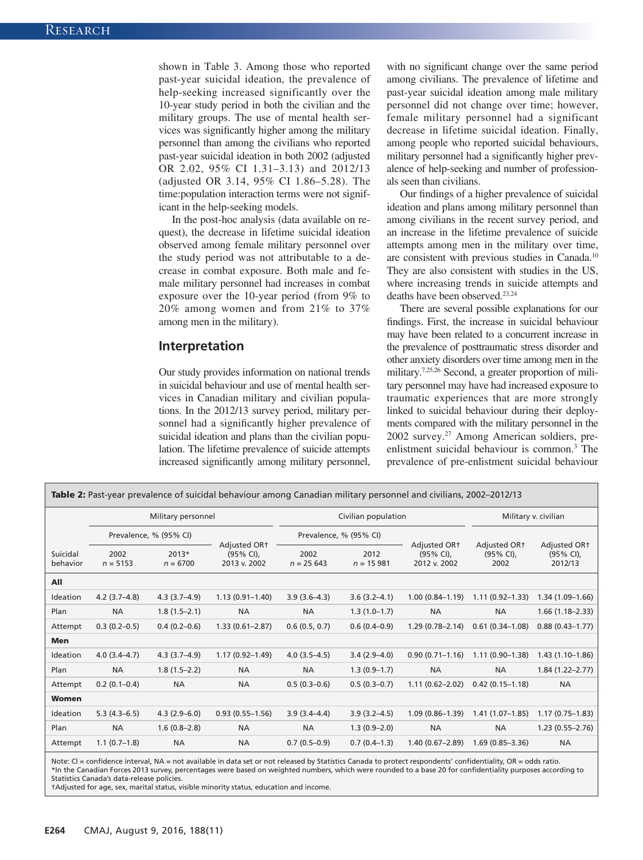shown in Table 3. Among those who reported past-year suicidal ideation, the prevalence of help-seeking increased significantly over the 10-year study period in both the civilian and the military groups. The use of mental health services was significantly higher among the military personnel than among the civilians who reported past-year suicidal ideation in both 2002 (adjusted OR 2.02, 95% CI 1.31–3.13) and 2012/13 (adjusted OR 3.14, 95% CI 1.86–5.28). The time:population interaction terms were not significant in the help-seeking models.

In the post-hoc analysis (data available on request), the decrease in lifetime suicidal ideation observed among female military personnel over the study period was not attributable to a decrease in combat exposure. Both male and female military personnel had increases in combat exposure over the 10-year period (from 9% to 20% among women and from 21% to 37% among men in the military).

### **Interpretation**

Our study provides information on national trends in suicidal behaviour and use of mental health services in Canadian military and civilian populations. In the 2012/13 survey period, military personnel had a significantly higher prevalence of suicidal ideation and plans than the civilian population. The lifetime prevalence of suicide attempts increased significantly among military personnel, with no significant change over the same period among civilians. The prevalence of lifetime and past-year suicidal ideation among male military personnel did not change over time; however, female military personnel had a significant decrease in lifetime suicidal ideation. Finally, among people who reported suicidal behaviours, military personnel had a significantly higher prevalence of help-seeking and number of professionals seen than civilians.

Our findings of a higher prevalence of suicidal ideation and plans among military personnel than among civilians in the recent survey period, and an increase in the lifetime prevalence of suicide attempts among men in the military over time, are consistent with previous studies in Canada.10 They are also consistent with studies in the US, where increasing trends in suicide attempts and deaths have been observed.23,24

There are several possible explanations for our findings. First, the increase in suicidal behaviour may have been related to a concurrent increase in the prevalence of posttraumatic stress disorder and other anxiety disorders over time among men in the military.7,25,26 Second, a greater proportion of military personnel may have had increased exposure to traumatic experiences that are more strongly linked to suicidal behaviour during their deployments compared with the military personnel in the 2002 survey.27 Among American soldiers, preenlistment suicidal behaviour is common.3 The prevalence of pre-enlistment suicidal behaviour

| <b>Table 2:</b> Past-year prevalence of suicidal behaviour among Canadian military personnel and civilians, 2002–2012/13 |                        |                       |                                              |                        |                     |                                                          |                                                  |                                                  |  |  |
|--------------------------------------------------------------------------------------------------------------------------|------------------------|-----------------------|----------------------------------------------|------------------------|---------------------|----------------------------------------------------------|--------------------------------------------------|--------------------------------------------------|--|--|
|                                                                                                                          | Military personnel     |                       |                                              |                        | Civilian population | Military v. civilian                                     |                                                  |                                                  |  |  |
|                                                                                                                          | Prevalence, % (95% CI) |                       |                                              | Prevalence, % (95% CI) |                     |                                                          |                                                  |                                                  |  |  |
| Suicidal<br>behavior                                                                                                     | 2002<br>$n = 5153$     | $2013*$<br>$n = 6700$ | Adjusted OR+<br>$(95% CI)$ ,<br>2013 v. 2002 | 2002<br>$n = 25643$    | 2012<br>$n = 15981$ | Adjusted OR <sub>†</sub><br>$(95% CI)$ ,<br>2012 v. 2002 | Adjusted OR <sub>†</sub><br>$(95% CI)$ ,<br>2002 | Adjusted OR <sub>†</sub><br>(95% CI),<br>2012/13 |  |  |
| All                                                                                                                      |                        |                       |                                              |                        |                     |                                                          |                                                  |                                                  |  |  |
| Ideation                                                                                                                 | $4.2$ (3.7-4.8)        | $4.3(3.7-4.9)$        | $1.13(0.91 - 1.40)$                          | $3.9(3.6-4.3)$         | $3.6(3.2 - 4.1)$    | $1.00(0.84 - 1.19)$                                      | $1.11(0.92 - 1.33)$                              | $1.34(1.09-1.66)$                                |  |  |
| Plan                                                                                                                     | <b>NA</b>              | $1.8(1.5-2.1)$        | <b>NA</b>                                    | <b>NA</b>              | $1.3(1.0-1.7)$      | <b>NA</b>                                                | <b>NA</b>                                        | $1.66(1.18-2.33)$                                |  |  |
| Attempt                                                                                                                  | $0.3(0.2-0.5)$         | $0.4(0.2-0.6)$        | $1.33(0.61 - 2.87)$                          | 0.6(0.5, 0.7)          | $0.6(0.4-0.9)$      | $1.29(0.78 - 2.14)$                                      | $0.61(0.34 - 1.08)$                              | $0.88(0.43 - 1.77)$                              |  |  |
| Men                                                                                                                      |                        |                       |                                              |                        |                     |                                                          |                                                  |                                                  |  |  |
| Ideation                                                                                                                 | $4.0(3.4 - 4.7)$       | $4.3(3.7 - 4.9)$      | $1.17(0.92 - 1.49)$                          | $4.0(3.5-4.5)$         | $3.4(2.9 - 4.0)$    | $0.90(0.71 - 1.16)$                                      | $1.11(0.90-1.38)$                                | $1.43(1.10-1.86)$                                |  |  |
| Plan                                                                                                                     | <b>NA</b>              | $1.8(1.5-2.2)$        | <b>NA</b>                                    | <b>NA</b>              | $1.3(0.9-1.7)$      | <b>NA</b>                                                | <b>NA</b>                                        | $1.84(1.22 - 2.77)$                              |  |  |
| Attempt                                                                                                                  | $0.2(0.1-0.4)$         | <b>NA</b>             | <b>NA</b>                                    | $0.5(0.3-0.6)$         | $0.5(0.3-0.7)$      | $1.11(0.62 - 2.02)$                                      | $0.42(0.15 - 1.18)$                              | <b>NA</b>                                        |  |  |
| <b>Women</b>                                                                                                             |                        |                       |                                              |                        |                     |                                                          |                                                  |                                                  |  |  |
| Ideation                                                                                                                 | $5.3(4.3-6.5)$         | $4.3(2.9-6.0)$        | $0.93(0.55 - 1.56)$                          | $3.9(3.4 - 4.4)$       | $3.9(3.2 - 4.5)$    | $1.09(0.86 - 1.39)$                                      | $1.41(1.07-1.85)$                                | $1.17(0.75 - 1.83)$                              |  |  |
| Plan                                                                                                                     | <b>NA</b>              | $1.6(0.8-2.8)$        | <b>NA</b>                                    | <b>NA</b>              | $1.3(0.9-2.0)$      | <b>NA</b>                                                | <b>NA</b>                                        | $1.23(0.55 - 2.76)$                              |  |  |
| Attempt                                                                                                                  | $1.1(0.7-1.8)$         | <b>NA</b>             | <b>NA</b>                                    | $0.7(0.5-0.9)$         | $0.7(0.4-1.3)$      | $1.40(0.67 - 2.89)$                                      | $1.69(0.85 - 3.36)$                              | <b>NA</b>                                        |  |  |

Note: CI = confidence interval, NA = not available in data set or not released by Statistics Canada to protect respondents' confidentiality, OR = odds ratio. \*In the Canadian Forces 2013 survey, percentages were based on weighted numbers, which were rounded to a base 20 for confidentiality purposes according to Statistics Canada's data-release policies.

†Adjusted for age, sex, marital status, visible minority status, education and income.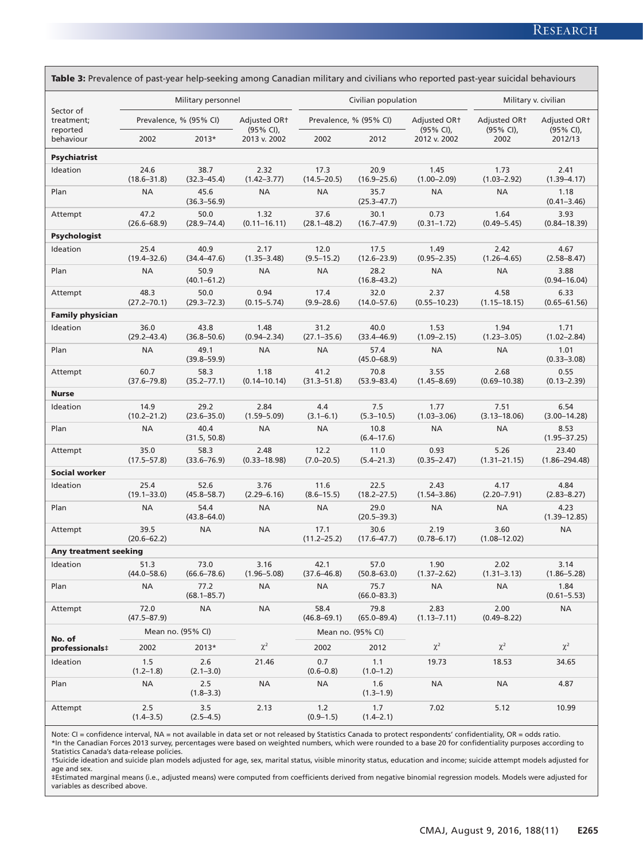| Table 3: Prevalence of past-year help-seeking among Canadian military and civilians who reported past-year suicidal behaviours |                         |                         |                                       |                         |                         |                           |                                                   |                                       |  |
|--------------------------------------------------------------------------------------------------------------------------------|-------------------------|-------------------------|---------------------------------------|-------------------------|-------------------------|---------------------------|---------------------------------------------------|---------------------------------------|--|
| Sector of                                                                                                                      |                         | Military personnel      |                                       |                         | Civilian population     | Military v. civilian      |                                                   |                                       |  |
| treatment;<br>reported                                                                                                         |                         | Prevalence, % (95% CI)  | Adjusted OR <sub>†</sub><br>(95% CI), |                         | Prevalence, % (95% CI)  | Adjusted OR1<br>(95% CI), | Adjusted OR <sup>+</sup><br>$(95\% \text{ Cl})$ , | Adjusted OR <sub>†</sub><br>(95% CI), |  |
| behaviour                                                                                                                      | 2002                    | 2013*                   | 2013 v. 2002                          | 2002                    | 2012                    | 2012 v. 2002              | 2002                                              | 2012/13                               |  |
| <b>Psychiatrist</b>                                                                                                            |                         |                         |                                       |                         |                         |                           |                                                   |                                       |  |
| Ideation                                                                                                                       | 24.6<br>$(18.6 - 31.8)$ | 38.7<br>$(32.3 - 45.4)$ | 2.32<br>$(1.42 - 3.77)$               | 17.3<br>$(14.5 - 20.5)$ | 20.9<br>$(16.9 - 25.6)$ | 1.45<br>$(1.00 - 2.09)$   | 1.73<br>$(1.03 - 2.92)$                           | 2.41<br>$(1.39 - 4.17)$               |  |
| Plan                                                                                                                           | <b>NA</b>               | 45.6<br>$(36.3 - 56.9)$ | ΝA                                    | <b>NA</b>               | 35.7<br>$(25.3 - 47.7)$ | <b>NA</b>                 | <b>NA</b>                                         | 1.18<br>$(0.41 - 3.46)$               |  |
| Attempt                                                                                                                        | 47.2<br>$(26.6 - 68.9)$ | 50.0<br>$(28.9 - 74.4)$ | 1.32<br>$(0.11 - 16.11)$              | 37.6<br>$(28.1 - 48.2)$ | 30.1<br>$(16.7 - 47.9)$ | 0.73<br>$(0.31 - 1.72)$   | 1.64<br>$(0.49 - 5.45)$                           | 3.93<br>$(0.84 - 18.39)$              |  |
| <b>Psychologist</b>                                                                                                            |                         |                         |                                       |                         |                         |                           |                                                   |                                       |  |
| Ideation                                                                                                                       | 25.4<br>$(19.4 - 32.6)$ | 40.9<br>$(34.4 - 47.6)$ | 2.17<br>$(1.35 - 3.48)$               | 12.0<br>$(9.5 - 15.2)$  | 17.5<br>$(12.6 - 23.9)$ | 1.49<br>$(0.95 - 2.35)$   | 2.42<br>$(1.26 - 4.65)$                           | 4.67<br>$(2.58 - 8.47)$               |  |
| Plan                                                                                                                           | <b>NA</b>               | 50.9<br>$(40.1 - 61.2)$ | <b>NA</b>                             | <b>NA</b>               | 28.2<br>$(16.8 - 43.2)$ | <b>NA</b>                 | <b>NA</b>                                         | 3.88<br>$(0.94 - 16.04)$              |  |
| Attempt                                                                                                                        | 48.3<br>$(27.2 - 70.1)$ | 50.0<br>$(29.3 - 72.3)$ | 0.94<br>$(0.15 - 5.74)$               | 17.4<br>$(9.9 - 28.6)$  | 32.0<br>$(14.0 - 57.6)$ | 2.37<br>$(0.55 - 10.23)$  | 4.58<br>$(1.15 - 18.15)$                          | 6.33<br>$(0.65 - 61.56)$              |  |
| <b>Family physician</b>                                                                                                        |                         |                         |                                       |                         |                         |                           |                                                   |                                       |  |
| Ideation                                                                                                                       | 36.0<br>$(29.2 - 43.4)$ | 43.8<br>$(36.8 - 50.6)$ | 1.48<br>$(0.94 - 2.34)$               | 31.2<br>$(27.1 - 35.6)$ | 40.0<br>$(33.4 - 46.9)$ | 1.53<br>$(1.09 - 2.15)$   | 1.94<br>$(1.23 - 3.05)$                           | 1.71<br>$(1.02 - 2.84)$               |  |
| Plan                                                                                                                           | <b>NA</b>               | 49.1<br>$(39.8 - 59.9)$ | <b>NA</b>                             | <b>NA</b>               | 57.4<br>$(45.0 - 68.9)$ | <b>NA</b>                 | <b>NA</b>                                         | 1.01<br>$(0.33 - 3.08)$               |  |
| Attempt                                                                                                                        | 60.7<br>$(37.6 - 79.8)$ | 58.3<br>$(35.2 - 77.1)$ | 1.18<br>$(0.14 - 10.14)$              | 41.2<br>$(31.3 - 51.8)$ | 70.8<br>$(53.9 - 83.4)$ | 3.55<br>$(1.45 - 8.69)$   | 2.68<br>$(0.69 - 10.38)$                          | 0.55<br>$(0.13 - 2.39)$               |  |
| <b>Nurse</b>                                                                                                                   |                         |                         |                                       |                         |                         |                           |                                                   |                                       |  |
| Ideation                                                                                                                       | 14.9<br>$(10.2 - 21.2)$ | 29.2<br>$(23.6 - 35.0)$ | 2.84<br>$(1.59 - 5.09)$               | 4.4<br>$(3.1 - 6.1)$    | 7.5<br>$(5.3 - 10.5)$   | 1.77<br>$(1.03 - 3.06)$   | 7.51<br>$(3.13 - 18.06)$                          | 6.54<br>$(3.00 - 14.28)$              |  |
| Plan                                                                                                                           | <b>NA</b>               | 40.4<br>(31.5, 50.8)    | <b>NA</b>                             | <b>NA</b>               | 10.8<br>$(6.4 - 17.6)$  | <b>NA</b>                 | <b>NA</b>                                         | 8.53<br>$(1.95 - 37.25)$              |  |
| Attempt                                                                                                                        | 35.0<br>$(17.5 - 57.8)$ | 58.3<br>$(33.6 - 76.9)$ | 2.48<br>$(0.33 - 18.98)$              | 12.2<br>$(7.0 - 20.5)$  | 11.0<br>$(5.4 - 21.3)$  | 0.93<br>$(0.35 - 2.47)$   | 5.26<br>$(1.31 - 21.15)$                          | 23.40<br>$(1.86 - 294.48)$            |  |
| <b>Social worker</b>                                                                                                           |                         |                         |                                       |                         |                         |                           |                                                   |                                       |  |
| Ideation                                                                                                                       | 25.4<br>$(19.1 - 33.0)$ | 52.6<br>$(45.8 - 58.7)$ | 3.76<br>$(2.29 - 6.16)$               | 11.6<br>$(8.6 - 15.5)$  | 22.5<br>$(18.2 - 27.5)$ | 2.43<br>$(1.54 - 3.86)$   | 4.17<br>$(2.20 - 7.91)$                           | 4.84<br>$(2.83 - 8.27)$               |  |
| Plan                                                                                                                           | <b>NA</b>               | 54.4<br>$(43.8 - 64.0)$ | <b>NA</b>                             | <b>NA</b>               | 29.0<br>$(20.5 - 39.3)$ | <b>NA</b>                 | <b>NA</b>                                         | 4.23<br>$(1.39 - 12.85)$              |  |
| Attempt                                                                                                                        | 39.5<br>$(20.6 - 62.2)$ | NA                      | <b>NA</b>                             | 17.1<br>$(11.2 - 25.2)$ | 30.6<br>$(17.6 - 47.7)$ | 2.19<br>$(0.78 - 6.17)$   | 3.60<br>$(1.08 - 12.02)$                          | <b>NA</b>                             |  |
| <b>Any treatment seeking</b>                                                                                                   |                         |                         |                                       |                         |                         |                           |                                                   |                                       |  |
| Ideation                                                                                                                       | 51.3<br>$(44.0 - 58.6)$ | 73.0<br>$(66.6 - 78.6)$ | 3.16<br>$(1.96 - 5.08)$               | 42.1<br>$(37.6 - 46.8)$ | 57.0<br>$(50.8 - 63.0)$ | 1.90<br>$(1.37 - 2.62)$   | 2.02<br>$(1.31 - 3.13)$                           | 3.14<br>$(1.86 - 5.28)$               |  |
| Plan                                                                                                                           | <b>NA</b>               | 77.2<br>$(68.1 - 85.7)$ | ΝA                                    | ΝA                      | 75.7<br>$(66.0 - 83.3)$ | <b>NA</b>                 | ΝA                                                | 1.84<br>$(0.61 - 5.53)$               |  |
| Attempt                                                                                                                        | 72.0<br>$(47.5 - 87.9)$ | <b>NA</b>               | ΝA                                    | 58.4<br>$(46.8 - 69.1)$ | 79.8<br>$(65.0 - 89.4)$ | 2.83<br>$(1.13 - 7.11)$   | 2.00<br>$(0.49 - 8.22)$                           | NA                                    |  |
|                                                                                                                                | Mean no. (95% CI)       |                         |                                       | Mean no. (95% CI)       |                         |                           |                                                   |                                       |  |
| No. of<br>professionals‡                                                                                                       | 2002<br>2013*           |                         | $\chi^2$                              | 2002                    | 2012                    | $\chi^2$                  | $\chi^2$                                          | $\chi^2$                              |  |
| Ideation                                                                                                                       | 1.5<br>$(1.2 - 1.8)$    | 2.6<br>$(2.1 - 3.0)$    | 21.46                                 | 0.7<br>$(0.6 - 0.8)$    | 1.1<br>$(1.0 - 1.2)$    | 19.73                     | 18.53                                             | 34.65                                 |  |
| Plan                                                                                                                           | NA                      | 2.5<br>$(1.8 - 3.3)$    | ΝA                                    | ΝA                      | 1.6<br>$(1.3 - 1.9)$    | <b>NA</b>                 | <b>NA</b>                                         | 4.87                                  |  |
| Attempt                                                                                                                        | 2.5<br>$(1.4 - 3.5)$    | 3.5<br>$(2.5 - 4.5)$    | 2.13                                  | 1.2<br>$(0.9 - 1.5)$    | 1.7<br>$(1.4 - 2.1)$    | 7.02                      | 5.12                                              | 10.99                                 |  |

Note: CI = confidence interval, NA = not available in data set or not released by Statistics Canada to protect respondents' confidentiality, OR = odds ratio.<br>\*In the Canadian Forces 2013 survey, percentages were based on w

Statistics Canada's data-release policies. †Suicide ideation and suicide plan models adjusted for age, sex, marital status, visible minority status, education and income; suicide attempt models adjusted for

age and sex.<br>‡Estimated marginal means (i.e., adjusted means) were computed from coefficients derived from negative binomial regression models. Models were adjusted for variables as described above.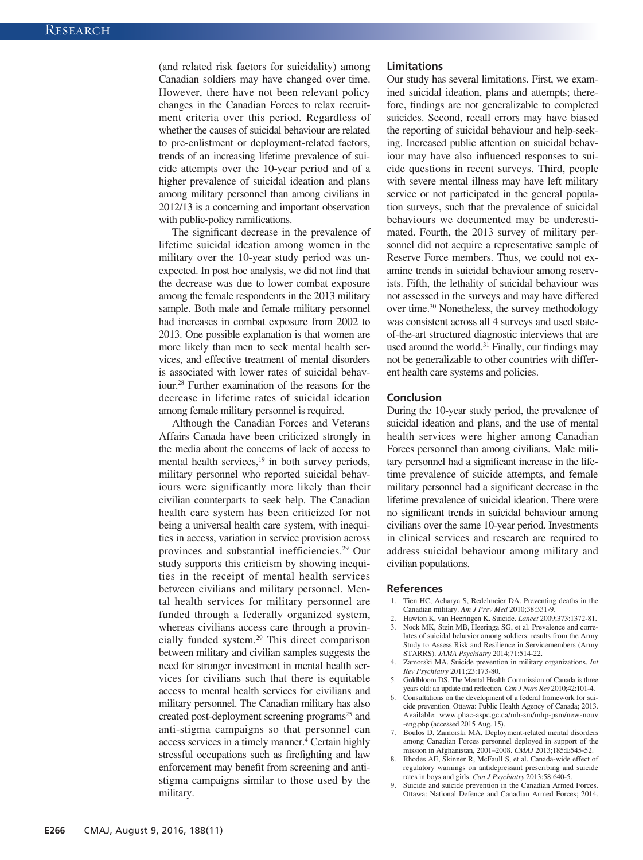(and related risk factors for suicidality) among Canadian soldiers may have changed over time. However, there have not been relevant policy changes in the Canadian Forces to relax recruitment criteria over this period. Regardless of whether the causes of suicidal behaviour are related to pre-enlistment or deployment-related factors, trends of an increasing lifetime prevalence of suicide attempts over the 10-year period and of a higher prevalence of suicidal ideation and plans among military personnel than among civilians in 2012/13 is a concerning and important observation with public-policy ramifications.

The significant decrease in the prevalence of lifetime suicidal ideation among women in the military over the 10-year study period was unexpected. In post hoc analysis, we did not find that the decrease was due to lower combat exposure among the female respondents in the 2013 military sample. Both male and female military personnel had increases in combat exposure from 2002 to 2013. One possible explanation is that women are more likely than men to seek mental health services, and effective treatment of mental disorders is associated with lower rates of suicidal behaviour.28 Further examination of the reasons for the decrease in lifetime rates of suicidal ideation among female military personnel is required.

Although the Canadian Forces and Veterans Affairs Canada have been criticized strongly in the media about the concerns of lack of access to mental health services, $19$  in both survey periods, military personnel who reported suicidal behaviours were significantly more likely than their civilian counterparts to seek help. The Canadian health care system has been criticized for not being a universal health care system, with inequities in access, variation in service provision across provinces and substantial inefficiencies.29 Our study supports this criticism by showing inequities in the receipt of mental health services between civilians and military personnel. Mental health services for military personnel are funded through a federally organized system, whereas civilians access care through a provincially funded system.29 This direct comparison between military and civilian samples suggests the need for stronger investment in mental health services for civilians such that there is equitable access to mental health services for civilians and military personnel. The Canadian military has also created post-deployment screening programs<sup>25</sup> and anti-stigma campaigns so that personnel can access services in a timely manner.<sup>4</sup> Certain highly stressful occupations such as firefighting and law enforcement may benefit from screening and antistigma campaigns similar to those used by the military.

#### **Limitations**

Our study has several limitations. First, we examined suicidal ideation, plans and attempts; therefore, findings are not generalizable to completed suicides. Second, recall errors may have biased the reporting of suicidal behaviour and help-seeking. Increased public attention on suicidal behaviour may have also influenced responses to suicide questions in recent surveys. Third, people with severe mental illness may have left military service or not participated in the general population surveys, such that the prevalence of suicidal behaviours we documented may be underestimated. Fourth, the 2013 survey of military personnel did not acquire a representative sample of Reserve Force members. Thus, we could not examine trends in suicidal behaviour among reservists. Fifth, the lethality of suicidal behaviour was not assessed in the surveys and may have differed over time.30 Nonetheless, the survey methodology was consistent across all 4 surveys and used stateof-the-art structured diagnostic interviews that are used around the world.<sup>31</sup> Finally, our findings may not be generalizable to other countries with different health care systems and policies.

#### **Conclusion**

During the 10-year study period, the prevalence of suicidal ideation and plans, and the use of mental health services were higher among Canadian Forces personnel than among civilians. Male military personnel had a significant increase in the lifetime prevalence of suicide attempts, and female military personnel had a significant decrease in the lifetime prevalence of suicidal ideation. There were no significant trends in suicidal behaviour among civilians over the same 10-year period. Investments in clinical services and research are required to address suicidal behaviour among military and civilian populations.

#### **References**

- 1. Tien HC, Acharya S, Redelmeier DA. Preventing deaths in the Canadian military. *Am J Prev Med* 2010;38:331-9.
- 2. Hawton K, van Heeringen K. Suicide. *Lancet* 2009;373:1372-81.
- Nock MK, Stein MB, Heeringa SG, et al. Prevalence and correlates of suicidal behavior among soldiers: results from the Army Study to Assess Risk and Resilience in Servicemembers (Army STARRS). *JAMA Psychiatry* 2014;71:514-22.
- 4. Zamorski MA. Suicide prevention in military organizations. *Int Rev Psychiatry* 2011;23:173-80.
- 5. Goldbloom DS. The Mental Health Commission of Canada is three years old: an update and reflection. *Can J Nurs Res* 2010;42:101-4.
- 6. Consultations on the development of a federal framework for suicide prevention. Ottawa: Public Health Agency of Canada; 2013. Available: www.phac-aspc.gc.ca/mh-sm/mhp-psm/new-nouv -eng.php (accessed 2015 Aug. 15).
- 7. Boulos D, Zamorski MA. Deployment-related mental disorders among Canadian Forces personnel deployed in support of the mission in Afghanistan, 2001–2008. *CMAJ* 2013;185:E545-52.
- 8. Rhodes AE, Skinner R, McFaull S, et al. Canada-wide effect of regulatory warnings on antidepressant prescribing and suicide rates in boys and girls. *Can J Psychiatry* 2013;58:640-5.
- Suicide and suicide prevention in the Canadian Armed Forces. Ottawa: National Defence and Canadian Armed Forces; 2014.